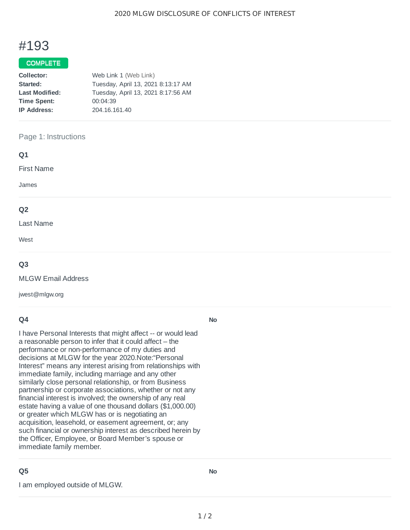# #193

### COMPLETE

| Collector:            | Web Link 1 (Web Link)              |
|-----------------------|------------------------------------|
| Started:              | Tuesday, April 13, 2021 8:13:17 AM |
| <b>Last Modified:</b> | Tuesday, April 13, 2021 8:17:56 AM |
| <b>Time Spent:</b>    | 00:04:39                           |
| <b>IP Address:</b>    | 204.16.161.40                      |

#### Page 1: Instructions

| Q1             |  |  |
|----------------|--|--|
| First Name     |  |  |
| James          |  |  |
| Q <sub>2</sub> |  |  |
| Last Name      |  |  |
| West           |  |  |

#### **Q3**

MLGW Email Address

jwest@mlgw.org

#### **Q4**

I have Personal Interests that might affect -- or would lead a reasonable person to infer that it could affect – the performance or non-performance of my duties and decisions at MLGW for the year 2020.Note:"Personal Interest" means any interest arising from relationships with immediate family, including marriage and any other similarly close personal relationship, or from Business partnership or corporate associations, whether or not any financial interest is involved; the ownership of any real estate having a value of one thousand dollars (\$1,000.00) or greater which MLGW has or is negotiating an acquisition, leasehold, or easement agreement, or; any such financial or ownership interest as described herein by the Officer, Employee, or Board Member's spouse or immediate family member.

## **Q5**

I am employed outside of MLGW.

**No**

**No**